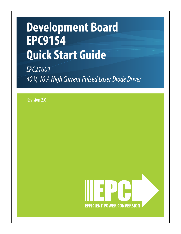# **Development Board EPC9154 Quick Start Guide**

*EPC21601 40 V, 10 A High Current Pulsed Laser Diode Driver*

Revision 2.0

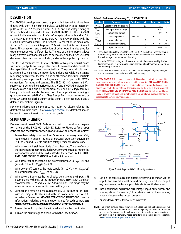## **DESCRIPTION**

The EPC9154 development board is primarily intended to drive laser diodes with short, high current pulses. Capabilities include minimum pulse widths of < 2 ns, peak currents > 10 A, and bus voltage rating of 30 V. The board is shipped with an EPC21601 eGaN® FET. The EPC21601 monolithically integrates an ultrafast eGaN gate driver with and a 10 A, 40 V eGaN IC in one tiny 6-bump BGA IC. The EPC9154 ships with the EPC9989 interposer board. The EPC9989 is a collection of break-away 5 mm x 5 mm square interposer PCBs with footprints for different lasers, RF connectors, and a collection of other footprints designed for experimentation with different loads. The use of the interposers allows many different lasers or other loads to be mounted on the EPC9154. Laser diodes or other loads are not included, and must be supplied by the user.

The EPC9154 combines the EPC21601 eGaN IC with a printed circuit board with inputs, outputs, and test points in order to evaluate and demonstrate the capabilities of the IC and connected load. The printed circuit board is designed to minimize the power loop inductance while maintaining mounting flexibility for the laser diode or other load. It includes multiple on-board passive probes for voltages and is equipped with MMCX connections for input and sensing. The EPC21601 IC requires a 5  $V_{DD}$ supply, but is designed to interface with 3.3 V and 5 V CMOS logic families. In many cases it can also be driven from 2.5 V and 1.8 V logic families. Finally, the board can also be used for other applications requiring a ground-referenced eGaN IC, e.g. Class E amplifiers, boost converters, or similar. A complete block diagram of the circuit is given in Figure 1, and a detailed schematic in Figure 6.

For more information on the EPC21601 eGaN IC, please refer to the datasheet available from EPC at **[www.epc-co.com](https://epc-co.com/epc/Portals/0/epc/documents/datasheets/epc21601_datasheet.pdf)**. The datasheet should be read in conjunction with this quick start guide.

## **SETUP AND OPERATION**

Development board EPC9154 is easy to set up to evaluate the performance of the EPC21601 eGaN IC. Refer to Figure 2 for proper connect and measurement setup and follow the procedure below:

- 1. Review laser safety considerations. Observe all necessary laser safety requirements including the use of personal protection equipment (PPE) as required. Refer to qualified safety personnel as necessary.
- 2. With power off, install laser diode U2 or other load. The use of one of the interposers from the included EPC9989 may be used to mount the laser or other load, and this is discussed in the section **LASER DIODE AND LOAD CONSIDERATIONS** for further information.
- 3. With power off, connect the input power supply bus to  $+V_{BUS}$  (J1) and ground / return to  $-V_{BUS}$  (J9) or GND.
- 4. With power off, connect the logic supply (5.1-1.2  $V_{DC}$ ) to + $V_{Looic}$  (J9) and ground return to  $-V_{\text{Loqic}}(J9)$  or GND.
- 5. With power off, connect the signal pulse generator to the input J3. J3 is terminated with 50  $\Omega$  at the input of the EPC21601 IC (U1), and can accommodate 3.3 V and 5 V CMOS logic inputs. This range may be extended in some cases, as discussed in this guide.
- 6. Connect the remaining measurement MMCX outputs to an oscilloscope, using 50  $\Omega$  cables and with the scope inputs set to 50  $\Omega$ impedance. See section **MEASUREMENT CONSIDERATIONS** for more information, including the attenuation values for each output. *Note that the current sensing output is not functional for this board revision.*
- 7. Turn on the logic supply voltage to a value within the specification.
- 8. Turn on the bus voltage to a value within the specification.

#### Table 1: Performance Summary (T<sub>a</sub> = 25°C) EPC9154

| <b>Symbol</b>      | Parameter                   | <b>Conditions</b> | <b>Min</b>     | <b>Nom</b> | <b>Max</b> | <b>Units</b> |
|--------------------|-----------------------------|-------------------|----------------|------------|------------|--------------|
| V <sub>Logic</sub> | Gate drive and logic supply |                   | 5.5            |            | 12         | ٧            |
| V <sub>BUS</sub>   | Bus input voltage range     |                   | 0              |            | $30*$      |              |
| <b>LOAD</b>        | Output load current         |                   |                |            | $10***$    | A            |
| $Z_{\sf IN}$       | Input impedance             | J3 input          |                | 50         |            | Ω            |
| V <sub>INPUT</sub> | Input pulse range           |                   | 0              |            | 5          | ν            |
| F <sub>INPUT</sub> | Input pulse frequency       |                   | 0              | 50         | $150***$   | <b>MHz</b>   |
| l <sub>Pin</sub>   | Input pulse width           |                   | $\overline{2}$ |            | 1000       | ns           |

The voltage rating of the EPC21601 eGaN IC is 40 V. The extremely fast switching transitions may result in ringing. It is the responsibility of the user to ensure that the peak voltage does not exceed the rating.

- This is the EPC21601 rating, and does not account for heat generated by the load. It is the responsibility of the user to ensure that operating temperatures are within component specifications.
- \*\*\* The EPC21601 is specified to have a 100 MHz maximum operating frequency, but in many cases can operate at a much higher frequency.

**SAFETY WARNING:** This board is capable of driving laser diodes to generate high power optical pulses. Such pulses are capable of causing **PERMANENT VISION DAMAGE AND BLINDNESS** as well as additional injury or property damage. Laser diodes may emit infrared (IR) light that is invisible to the user, but which can still cause **PERMANENT VISION DAMAGE AND BLINDNESS** as well as additional injury or property damage. User is fully responsible for following proper laser safety procedures to prevent injury or damage.



*Figure 1: Block diagram of EPC9154 development board*

- 9. Turn on the pulse source and observe switching operation via the outputs and any additional desired probing. Laser diode output may be observed with an appropriate electro-optical receiver.
- 10. Once operational, adjust the bus voltage, input pulse width, and pulse repetition frequency (PRF) as desired within the operating range and observe the system behavior.
- 11. For shutdown, please follow steps in reverse.
- **NOTE**: This circuit contains nodes with very fast edges and with voltages one or two orders of magnitude higher that standard logic signals. Standard methods and probes for power circuits will normally not provide accurate results and may disrupt circuit operation. Please consider probe choice and use carefully. See **[EPC measurement applications note.](https://epc-co.com/epc/Portals/0/epc/documents/application-notes/How2AppNote006%20Measurement.pdf)**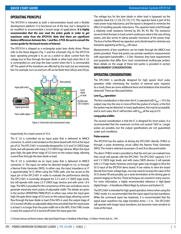## **OPERATING PRINCIPLE**

The EPC9154 is intended as both a demonstration board and a flexible development platform. It is functional out of the box, but is designed to be modified to accommodate a broad range of applications. *It is highly recommended that the user read the entire guide in order to get maximum value from the EPC9154. Note that there are significant feature differences between Rev. 1 and Rev. 2 PCB. Be sure to consult the correct guide for the board version of interest.*

The EPC9154 is shipped as a rectangular pulse laser diode driver. Please refer to the block diagram (Fig. 1) and the schematic (Fig. 6). The EPC9154 basic operating principle is to act as a switch to allow current from the voltage bus to flow through the laser diode or other load when the IC U2 is commanded on, and stop the load current when the IC is commanded off. The speed of the transitions are affected by the load, but are extremely fast. For example, turn-on and turn-off can be faster than 500 ps and 250 ps,



 *Figure 2: Connection and measurement setup*

respectively, for a load current of 10 A.

The IC U2 is controlled via an input pulse that is delivered to MMCX connector J3, which is terminated on the demo board with 50  $\Omega$  at the input pin of U2. The EPC21601 is nominally designed for 3.3 V and 5 V CMOS logic levels, but will operate with many 2.5 V CMOS logic devices. When the input goes high, the gate driver stage of U2 turns on the output stage, allowing current flow through the laser diode or load.

The IC U2 is controlled via an input pulse that is delivered to MMCX connector J7. The input can either be directed straight to U2, or through a Narrow Pulse Generator (NPG). In either case, the input impedance at J7 is approximately 50 Ω. When using the THRU path, one has access to the input pin of the EPC21601 in order to evaluate the performance directly. The EPC21601 is nominally designed for 3.3 V and 5 V CMOS logic levels, but will operate with many 2.5 V CMOS logic devices and with some 1.8 V logic. The NPG is provided for the convenience of the user, and allows one to generate extremely short pulses of adjustable width. The details are given in the section OPERATING PRINCIPLES. In either case, when the input goes high, the gate driver stage of U2 turns on the output stage, allowing current flow through the laser diode or load. If the NPG is used, the output stage of U2 is turned off after an adjustable delay time provided that the input pulse is at least 5 ns longer than the pulse width set in the NPG. If the THRU mode is used, the output of U2 is turned off when the input goes low.

The voltage bus for the laser diode or other load is bypassed via the capacitor bank {C6, C7, C8, C9, C10, C11}. This capacitor bank is part of the main power loop inductance, and the layout is designed to minimize the effect of resulting parasitic inductance. The capacitor bank is fed through a relatively small resistance formed by {R3, R4, R5, R6}. The resistance serves to limit the laser or load current continuous value in the case of long pulses, and also serves to damp parasitic resonance of the power loop. The bus is further filtered via capacitors and a ferrite bead to minimize any transients appearing at the  $V_{BUS}$  (J8) input.

Measurements of key waveforms can be made through the MMCX test points provided. These test points can provide waveform measurements with equivalent bandwidths > 3 GHz. However, they have requirements and properties that differ from most conventional oscilloscope probes. More details on the usage of these test points is provided in section **MEASUREMENT CONSIDERATIONS**.

## **OPERATING CONSIDERATIONS**

The EPC21601 is specifically designed for high speed, short pulse operation while minimizing the number of external parts required. As a result, there are some additional items and limitations that should be observed. These are discussed below.

#### Low V<sub>BUS</sub> operation

The first consideration is that when the IC is operated with  $V_{BUS}$  < 10 V, the output may miss the one or more of first few pulses of a burst, or the first few pulses may be distorted. In many applications, this may be acceptable, and in such cases, the IC will function with  $V_{BUS}$  all the way to 0 V.

#### **Long pulse widths**

The second consideration is that the IC is designed for short pulses. It is recommended that the maximum on-time not exceed 1000 ns. Longer pulses are possible, but the output specifications are not guaranteed under such conditions.

#### **Pulse sources**

The EPC9154 has the option of driving the EPC21601 directly (THRU) or through a pulse shortening circuit called the Narrow Pulse Generator (NPG). The mode is selected via jumpers J5 and J6 as discussed earlier.

The direct (THRU) mode is provided so that the end user can evaluate how their circuit will operate with the EPC21601. The EPC21601 supports 3.3 V and 5 V CMOS logic levels, and with many CMOS devices, it will operate with 2.5 V logic levels. However, some logic gates may struggle to drive the 50 Ω input of the EPC9154 demo board. If one wishes to drive the board directly from lower voltage logic, one may need to increase the value of the 50  $\Omega$  resistor R9 and possibly use a series termination at the driving gate to prevent ringing on the line. These techniques are covered in many sources. For more information, a highly recommended reference is *High-Speed Digital Design – A Handbook of Black Magic by Johnson and Graham* [1].

The EPC21601 is intended for high speed operation, hence when using the THRU mode, it is recommended that the input signal has fast transitions. While the command input has hysteresis, it is recommended that the signal input waveform has edge transition times < 5 ns . The EPC21601 will operate with longer input transitions, but becomes more sensitive to noise at the input.

[1] Howard Johnson and Martin Graham, High Speed Digital Design: A Handbook of Black Magic, 1st Edition. Prentice Hall, Inc., 1993.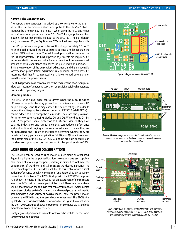#### **Narrow Pulse Generator (NPG)**

The narrow pulse generator is provided as a convenience to the user. It allows the user to provide a short input pulse to the EPC21601 that is triggered by a longer input pulse at J7. When using the NPG, one needs to provide an input pulse suitable for 3.3 V CMOS logic, of pulse length at least 5 ns longer than the desired input to the EPC21601. The pulse length is adjustable using P1 (see Fig. 2), where CW rotation increases pulse width.

The NPG provides a range of pulse widths of approximately 1.5 to 65 ns as shipped, provided the input pulse is at least 5 ns longer than the desired NPG output pulse. The additional propagation delay of the NPG is approximately 5 to 6 ns. If precise adjustments are required, it is recommended to use a non-conductive adjustment tool, since even a small amount of extra capacitance can affect the pulse width. In addition, P1 limits the resolution of the pulse width adjustment, and this is noticeable for very short pulses. If finer adjustment is required for short pulses, it is recommended that P1 be replaced with a lower valued potentiometer from the same component series.

The NPG is provided as a convenience to the end user and as an example of a low-cost means of generating very short pulses. It is not fully characterized over standard operating ranges.

#### **Clamping diodes**

The EPC9154 is a dual edge control driver. When the IC U2 is turned off, energy stored in the stray power loop inductance can cause a U2 output voltage spike that may exceed the device ratings. In order to reduce the voltage spike, a diode-connected EPC2036 eGaN FET (Q1) can be added to help clamp the drain node. There are also provisions for up to two other clamping diodes D1 and D2. While diodes Q1, D1 and D2 can provide some protection to IC U2 and laser U1, they have parasitic inductance and capacitance that can reduce performance and add additional ringing at the very fastest speeds. Hence, they are not populated, and it is left to the user to determine whether they are beneficial for any particular application. D1, D2, and Q2 locations are on the bottom side of the EPC9154 PCB. D3 and D4 are high-speed silicon transient voltage suppressors that only act to clamp spikes above 36 V.

## **LASER DIODE OR LOAD CONSIDERATIONS**

The EPC9154 can be used as is to mount a laser diode or other load. Figure 3 highlights the output pad locations. However, many laser suppliers have different mounting footprints, making it difficult to optimize the performance of the driver and still maintain the desired flexibility. The use of an interposer PCB provides a solution to this problem with a small added performance penalty in the form of an additional 50 pH to 100 pH power loop inductance. The EPC9154 ships with the EPC9989 interposer PCB, shown in Figure. 4. The EPC9989 has an assortment of 5 mm square interposer PCBs that can be snapped off the board. These interposers have various footprints on the top side that can accommodate several surface mount laser diodes, an MMCX connector, and several patterns designed to accommodate a wide variety of possible loads. These interposers mount between the EPC9154 and the laser diode or other load. The EPC9989 is updated as new lasers or loads become available, so Figure 4 may not show the latest board. Figure 5 shows an example of an Excelitas SMD laser diode mounted with one of the interposers.

Finally, a ground pad is made available for those who wish to use the board for alternative applications.



 *Figure 3: Output terminals of the EPC9154*



*Figure 4: EPC9989 interposer. Note that this board is revised as needed to accommodate new lasers and other loads as needed, so the picture may not show the latest revision.*



*Figure 5:Laser diode mounting on output terminals with interposer. Please note that the photograph is of the EPC9126 demo board, but the same interposers and footprints apply* to *the EPC9154.*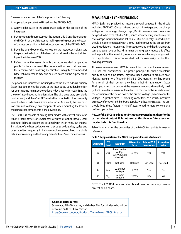The recommended use of the interposer is the following:

- 1. Apply solder paste to the U1 pads on the EPC9154 PCB.
- 2. Apply solder paste to the appropriate pads on the top side of the interposer.
- 3. Place the desired interposer with the bottom side facing the top side of the EPC9154 on the U2 footprint, making sure the pads on the bottom of the interposer align with the footprint on top of the EPC9154 PCB.
- 4. Place the laser diode or desired load on the interposer, making sure the pads on the bottom of the laser or load align with the footprint on top of the interposer PCB.
- 5. Reflow the entire assembly with the recommended temperature profile for the solder used. The use of a reflow oven that can meet the recommended soldering specifications is highly recommended. Other reflow methods may also be used based on the experience of the user.

The power loop inductance, including that of the laser diode, is a primary factor that determines the shape of the laser pulse. Considerable effort has been made to minimize power loop inductance while maximizing the choice of laser diode and its orientation. The discharge caps, laser diode or other load, and the eGaN FET must all be mounted in close proximity to each other in order to minimize inductance. As a result, the user must take care not to damage any components when mounting the laser or changing other components in the power loop.

The EPC9154 is capable of driving laser diodes with current pulses can result in peak powers of several tens of watts of optical power. Laser diodes for lidar applications are designed with this in mind, but thermal limitations of the laser package mean that pulse widths, duty cycles, and pulse repetition frequency limitations must be observed. Read laser diode data sheets carefully and follow any manufacturers' recommendations.

## **MEASUREMENT CONSIDERATIONS**

MMCX jacks are provided to measure several voltages in the circuit, including EPC21601 IC input (J6) and output (J5) voltages, and the charge voltage of the energy storage cap (J2). All measurement points are designed to be terminated in 50  $\Omega$ , hence when viewing waveforms, the oscilloscope inputs should be set to a 50  $\Omega$  input. Ideally, unused inputs should be also terminated with a 50  $\Omega$  load to prevent the probes from creating additional resonances. The output voltage and the discharge cap sense voltage have on-board terminations to greatly reduce this effect, and in practice, the remaining resonances are small enough to ignore in most applications. It is recommended that the user verify this for their own requirements.

All sense measurement MMCXs, except for the shunt measurement (J1), use the transmission line probe principle to obtain waveform fidelity at sub-ns time scales. They have been verified to produce nearidentical results to a Tektronix P9158 3 GHz transmission line probe. As a result of their design, they have a built-in attenuation factor. The impedance of the probes at the measurement node is relatively small  $(-1)$  kΩ). In order to minimize the effects of the low probe impedance on the operation of the demo board, the output voltage (J5) and capacitor voltage (J2) probes have DC blocking capacitors. As a result, measured pulse waveforms will exhibit droop as pulse widths are increased. The user should keep these factors in mind if accustomed to more conventional oscilloscope probes.

#### **Rev. 2 of the EPC9154 does not include a current shunt, therefor the current shunt output J1 is not used at this time. A future revision may include this functionality.**

Table 2 summarizes the properties of the MMCX test points for ease of reference.

| <b>Designator</b> | <b>PCB</b><br><b>label</b>  | <b>Description</b>                                           | <b>Attenuation</b><br>factor | Internal 50 $\Omega$<br><b>termination</b> | <b>Attenuation</b><br>factor |  |
|-------------------|-----------------------------|--------------------------------------------------------------|------------------------------|--------------------------------------------|------------------------------|--|
| J <sub>2</sub>    | CAP                         | <b>Bus capacitor</b><br>voltage<br>(VCHARGE on<br>schematic) | 41 V/V                       | YES                                        | <b>YES</b>                   |  |
| J1                | <b>SHUNT</b>                | Not used                                                     | Not used                     | Not used                                   | Not used                     |  |
| J5                | $V_{OUT}$                   | U <sub>2</sub> output<br>voltage                             | 41 V/V                       | YES                                        | YES                          |  |
| J6                | $\mathsf{V}_{\mathsf{IN1}}$ | U2 input<br>voltage                                          | 20 V/V                       | NO                                         | ΝO                           |  |

#### **Table 2: Key properties of the MMCX test points for ease of reference**

NOTE. The EPC9154 demonstration board does not have any thermal protection on board.

#### **Additional Resources:**

Schematic, Bill of Materials, and Gerber Files for this demo board can be found on the EPC website at: **<https://epc-co.com/epc/Products/DemoBoards/EPC9154.aspx>**